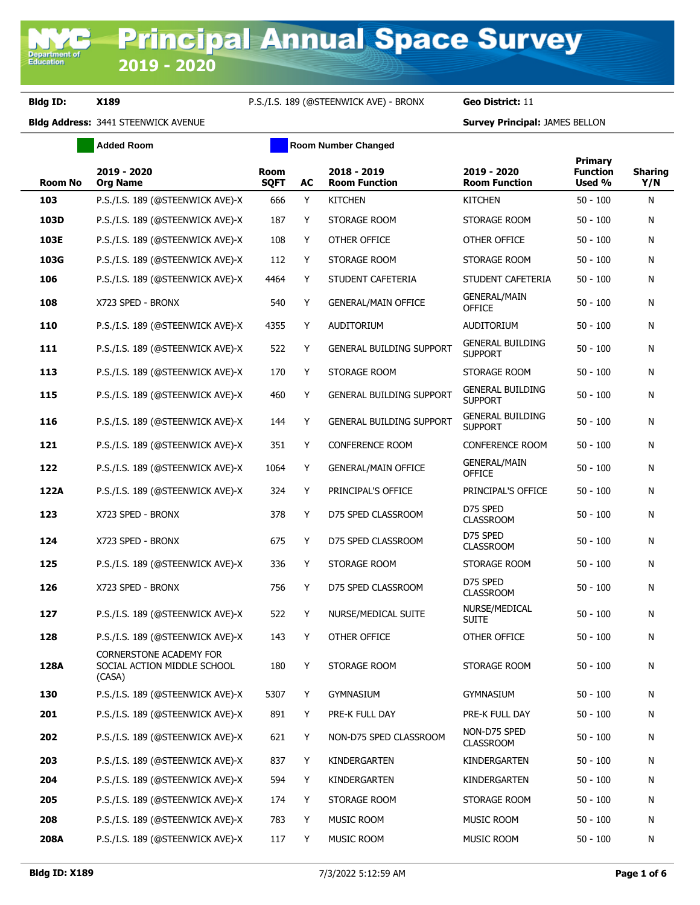**Department of**<br>Education

**Bldg ID: X189** P.S./I.S. 189 (@STEENWICK AVE) - BRONX **Geo District:** 11

**Bldg Address:** 3441 STEENWICK AVENUE **Survey Principal:** JAMES BELLON

|                | <b>Added Room</b>                                                |                            |    | <b>Room Number Changed</b>          |                                           |                                      |                       |
|----------------|------------------------------------------------------------------|----------------------------|----|-------------------------------------|-------------------------------------------|--------------------------------------|-----------------------|
| <b>Room No</b> | 2019 - 2020<br><b>Org Name</b>                                   | <b>Room</b><br><b>SQFT</b> | AC | 2018 - 2019<br><b>Room Function</b> | 2019 - 2020<br><b>Room Function</b>       | Primary<br><b>Function</b><br>Used % | <b>Sharing</b><br>Y/N |
| 103            | P.S./I.S. 189 (@STEENWICK AVE)-X                                 | 666                        | Y  | <b>KITCHEN</b>                      | <b>KITCHEN</b>                            | $50 - 100$                           | N                     |
| 103D           | P.S./I.S. 189 (@STEENWICK AVE)-X                                 | 187                        | Y  | STORAGE ROOM                        | STORAGE ROOM                              | $50 - 100$                           | N                     |
| 103E           | P.S./I.S. 189 (@STEENWICK AVE)-X                                 | 108                        | Y  | OTHER OFFICE                        | OTHER OFFICE                              | $50 - 100$                           | N                     |
| 103G           | P.S./I.S. 189 (@STEENWICK AVE)-X                                 | 112                        | Y  | STORAGE ROOM                        | STORAGE ROOM                              | $50 - 100$                           | N                     |
| 106            | P.S./I.S. 189 (@STEENWICK AVE)-X                                 | 4464                       | Υ  | STUDENT CAFETERIA                   | STUDENT CAFETERIA                         | $50 - 100$                           | N                     |
| 108            | X723 SPED - BRONX                                                | 540                        | Y  | <b>GENERAL/MAIN OFFICE</b>          | <b>GENERAL/MAIN</b><br><b>OFFICE</b>      | $50 - 100$                           | N                     |
| 110            | P.S./I.S. 189 (@STEENWICK AVE)-X                                 | 4355                       | Y  | <b>AUDITORIUM</b>                   | AUDITORIUM                                | $50 - 100$                           | N                     |
| 111            | P.S./I.S. 189 (@STEENWICK AVE)-X                                 | 522                        | Y  | <b>GENERAL BUILDING SUPPORT</b>     | <b>GENERAL BUILDING</b><br><b>SUPPORT</b> | $50 - 100$                           | N                     |
| 113            | P.S./I.S. 189 (@STEENWICK AVE)-X                                 | 170                        | Y  | STORAGE ROOM                        | STORAGE ROOM                              | $50 - 100$                           | N                     |
| 115            | P.S./I.S. 189 (@STEENWICK AVE)-X                                 | 460                        | Y  | <b>GENERAL BUILDING SUPPORT</b>     | <b>GENERAL BUILDING</b><br><b>SUPPORT</b> | $50 - 100$                           | N                     |
| 116            | P.S./I.S. 189 (@STEENWICK AVE)-X                                 | 144                        | Y  | <b>GENERAL BUILDING SUPPORT</b>     | <b>GENERAL BUILDING</b><br><b>SUPPORT</b> | $50 - 100$                           | N                     |
| 121            | P.S./I.S. 189 (@STEENWICK AVE)-X                                 | 351                        | Y  | <b>CONFERENCE ROOM</b>              | <b>CONFERENCE ROOM</b>                    | $50 - 100$                           | N                     |
| 122            | P.S./I.S. 189 (@STEENWICK AVE)-X                                 | 1064                       | Y  | <b>GENERAL/MAIN OFFICE</b>          | <b>GENERAL/MAIN</b><br><b>OFFICE</b>      | $50 - 100$                           | N                     |
| 122A           | P.S./I.S. 189 (@STEENWICK AVE)-X                                 | 324                        | Y  | PRINCIPAL'S OFFICE                  | PRINCIPAL'S OFFICE                        | $50 - 100$                           | N                     |
| 123            | X723 SPED - BRONX                                                | 378                        | Y  | D75 SPED CLASSROOM                  | D75 SPED<br><b>CLASSROOM</b>              | $50 - 100$                           | N                     |
| 124            | X723 SPED - BRONX                                                | 675                        | Y  | D75 SPED CLASSROOM                  | D75 SPED<br><b>CLASSROOM</b>              | $50 - 100$                           | N                     |
| 125            | P.S./I.S. 189 (@STEENWICK AVE)-X                                 | 336                        | Y  | STORAGE ROOM                        | STORAGE ROOM                              | $50 - 100$                           | N                     |
| 126            | X723 SPED - BRONX                                                | 756                        | Y  | D75 SPED CLASSROOM                  | D75 SPED<br><b>CLASSROOM</b>              | $50 - 100$                           | N                     |
| 127            | P.S./I.S. 189 (@STEENWICK AVE)-X                                 | 522                        | Y  | NURSE/MEDICAL SUITE                 | NURSE/MEDICAL<br><b>SUITE</b>             | $50 - 100$                           | N                     |
| 128            | P.S./I.S. 189 (@STEENWICK AVE)-X                                 | 143                        | Y  | OTHER OFFICE                        | OTHER OFFICE                              | $50 - 100$                           | N                     |
| 128A           | CORNERSTONE ACADEMY FOR<br>SOCIAL ACTION MIDDLE SCHOOL<br>(CASA) | 180                        | Y  | STORAGE ROOM                        | STORAGE ROOM                              | $50 - 100$                           | N                     |
| 130            | P.S./I.S. 189 (@STEENWICK AVE)-X                                 | 5307                       | Y  | <b>GYMNASIUM</b>                    | <b>GYMNASIUM</b>                          | $50 - 100$                           | N                     |
| 201            | P.S./I.S. 189 (@STEENWICK AVE)-X                                 | 891                        | Y  | PRE-K FULL DAY                      | PRE-K FULL DAY                            | $50 - 100$                           | N                     |
| 202            | P.S./I.S. 189 (@STEENWICK AVE)-X                                 | 621                        | Υ  | NON-D75 SPED CLASSROOM              | NON-D75 SPED<br><b>CLASSROOM</b>          | $50 - 100$                           | N                     |
| 203            | P.S./I.S. 189 (@STEENWICK AVE)-X                                 | 837                        | Y  | KINDERGARTEN                        | KINDERGARTEN                              | $50 - 100$                           | N                     |
| 204            | P.S./I.S. 189 (@STEENWICK AVE)-X                                 | 594                        | Y  | KINDERGARTEN                        | KINDERGARTEN                              | $50 - 100$                           | N                     |
| 205            | P.S./I.S. 189 (@STEENWICK AVE)-X                                 | 174                        | Y  | STORAGE ROOM                        | STORAGE ROOM                              | $50 - 100$                           | N                     |
| 208            | P.S./I.S. 189 (@STEENWICK AVE)-X                                 | 783                        | Y  | MUSIC ROOM                          | <b>MUSIC ROOM</b>                         | $50 - 100$                           | N                     |
| 208A           | P.S./I.S. 189 (@STEENWICK AVE)-X                                 | 117                        | Y  | MUSIC ROOM                          | MUSIC ROOM                                | $50 - 100$                           | N                     |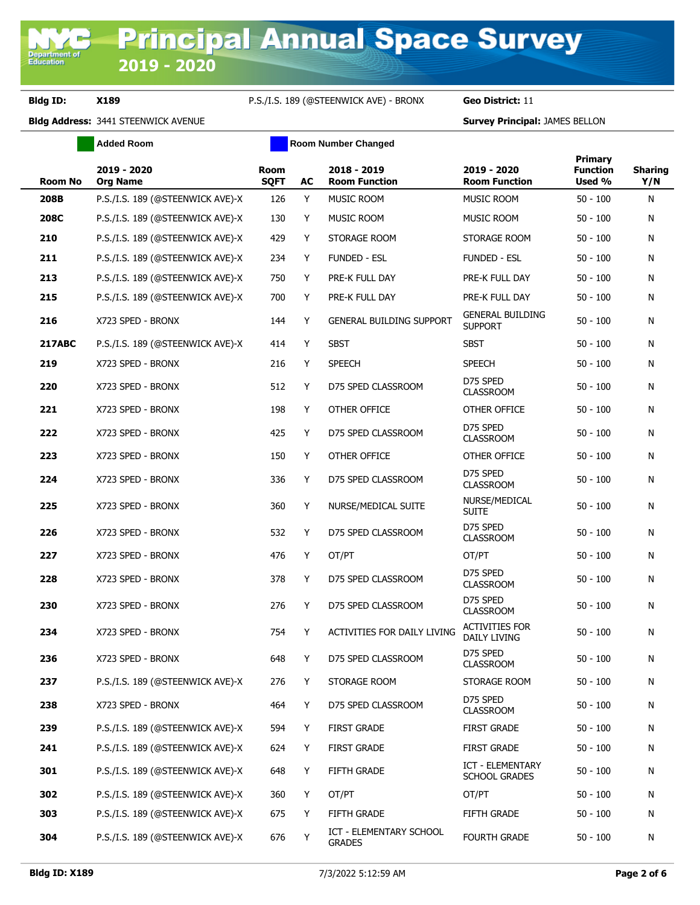**Bldg ID: X189** P.S./I.S. 189 (@STEENWICK AVE) - BRONX **Geo District:** 11

**Added Room Room Room Number Changed** 

**Bldg Address:** 3441 STEENWICK AVENUE **Survey Principal:** JAMES BELLON

| <b>Room No</b> | 2019 - 2020<br><b>Org Name</b>   | <b>Room</b><br><b>SQFT</b> | AC | 2018 - 2019<br><b>Room Function</b>      | 2019 - 2020<br><b>Room Function</b>       | Primary<br><b>Function</b><br>Used % | <b>Sharing</b><br>Y/N |
|----------------|----------------------------------|----------------------------|----|------------------------------------------|-------------------------------------------|--------------------------------------|-----------------------|
| 208B           | P.S./I.S. 189 (@STEENWICK AVE)-X | 126                        | Y  | <b>MUSIC ROOM</b>                        | <b>MUSIC ROOM</b>                         | $50 - 100$                           | N                     |
| <b>208C</b>    | P.S./I.S. 189 (@STEENWICK AVE)-X | 130                        | Y  | <b>MUSIC ROOM</b>                        | <b>MUSIC ROOM</b>                         | $50 - 100$                           | N                     |
| 210            | P.S./I.S. 189 (@STEENWICK AVE)-X | 429                        | Y  | STORAGE ROOM                             | STORAGE ROOM                              | $50 - 100$                           | N                     |
| 211            | P.S./I.S. 189 (@STEENWICK AVE)-X | 234                        | Y  | <b>FUNDED - ESL</b>                      | <b>FUNDED - ESL</b>                       | $50 - 100$                           | N                     |
| 213            | P.S./I.S. 189 (@STEENWICK AVE)-X | 750                        | Y  | PRE-K FULL DAY                           | PRE-K FULL DAY                            | $50 - 100$                           | N                     |
| 215            | P.S./I.S. 189 (@STEENWICK AVE)-X | 700                        | Y  | PRE-K FULL DAY                           | PRE-K FULL DAY                            | $50 - 100$                           | N                     |
| 216            | X723 SPED - BRONX                | 144                        | Y  | <b>GENERAL BUILDING SUPPORT</b>          | <b>GENERAL BUILDING</b><br><b>SUPPORT</b> | $50 - 100$                           | N                     |
| <b>217ABC</b>  | P.S./I.S. 189 (@STEENWICK AVE)-X | 414                        | Y  | <b>SBST</b>                              | <b>SBST</b>                               | $50 - 100$                           | N                     |
| 219            | X723 SPED - BRONX                | 216                        | Y  | <b>SPEECH</b>                            | <b>SPEECH</b>                             | $50 - 100$                           | N                     |
| 220            | X723 SPED - BRONX                | 512                        | Y  | D75 SPED CLASSROOM                       | D75 SPED<br><b>CLASSROOM</b>              | $50 - 100$                           | N                     |
| 221            | X723 SPED - BRONX                | 198                        | Y  | OTHER OFFICE                             | OTHER OFFICE                              | $50 - 100$                           | N                     |
| 222            | X723 SPED - BRONX                | 425                        | Y  | D75 SPED CLASSROOM                       | D75 SPED<br><b>CLASSROOM</b>              | $50 - 100$                           | N                     |
| 223            | X723 SPED - BRONX                | 150                        | Y  | OTHER OFFICE                             | OTHER OFFICE                              | $50 - 100$                           | N                     |
| 224            | X723 SPED - BRONX                | 336                        | Y  | D75 SPED CLASSROOM                       | D75 SPED<br><b>CLASSROOM</b>              | $50 - 100$                           | N                     |
| 225            | X723 SPED - BRONX                | 360                        | Y  | NURSE/MEDICAL SUITE                      | NURSE/MEDICAL<br><b>SUITE</b>             | $50 - 100$                           | N                     |
| 226            | X723 SPED - BRONX                | 532                        | Y  | D75 SPED CLASSROOM                       | D75 SPED<br><b>CLASSROOM</b>              | $50 - 100$                           | N                     |
| 227            | X723 SPED - BRONX                | 476                        | Y  | OT/PT                                    | OT/PT                                     | $50 - 100$                           | N                     |
| 228            | X723 SPED - BRONX                | 378                        | Y  | D75 SPED CLASSROOM                       | D75 SPED<br><b>CLASSROOM</b>              | $50 - 100$                           | N                     |
| 230            | X723 SPED - BRONX                | 276                        | Y  | D75 SPED CLASSROOM                       | D75 SPED<br><b>CLASSROOM</b>              | $50 - 100$                           | N                     |
| 234            | X723 SPED - BRONX                | 754                        | Y  | <b>ACTIVITIES FOR DAILY LIVING</b>       | <b>ACTIVITIES FOR</b><br>DAILY LIVING     | $50 - 100$                           | N                     |
| 236            | X723 SPED - BRONX                | 648                        | Y  | D75 SPED CLASSROOM                       | D75 SPED<br><b>CLASSROOM</b>              | $50 - 100$                           | N                     |
| 237            | P.S./I.S. 189 (@STEENWICK AVE)-X | 276                        | Y  | STORAGE ROOM                             | STORAGE ROOM                              | $50 - 100$                           | N                     |
| 238            | X723 SPED - BRONX                | 464                        | Y  | D75 SPED CLASSROOM                       | D75 SPED<br><b>CLASSROOM</b>              | $50 - 100$                           | N                     |
| 239            | P.S./I.S. 189 (@STEENWICK AVE)-X | 594                        | Y  | <b>FIRST GRADE</b>                       | FIRST GRADE                               | $50 - 100$                           | N                     |
| 241            | P.S./I.S. 189 (@STEENWICK AVE)-X | 624                        | Y  | <b>FIRST GRADE</b>                       | FIRST GRADE                               | $50 - 100$                           | N                     |
| 301            | P.S./I.S. 189 (@STEENWICK AVE)-X | 648                        | Y  | FIFTH GRADE                              | ICT - ELEMENTARY<br><b>SCHOOL GRADES</b>  | $50 - 100$                           | N                     |
| 302            | P.S./I.S. 189 (@STEENWICK AVE)-X | 360                        | Y  | OT/PT                                    | OT/PT                                     | $50 - 100$                           | N                     |
| 303            | P.S./I.S. 189 (@STEENWICK AVE)-X | 675                        | Y  | FIFTH GRADE                              | FIFTH GRADE                               | $50 - 100$                           | N                     |
| 304            | P.S./I.S. 189 (@STEENWICK AVE)-X | 676                        | Y  | ICT - ELEMENTARY SCHOOL<br><b>GRADES</b> | FOURTH GRADE                              | $50 - 100$                           | N                     |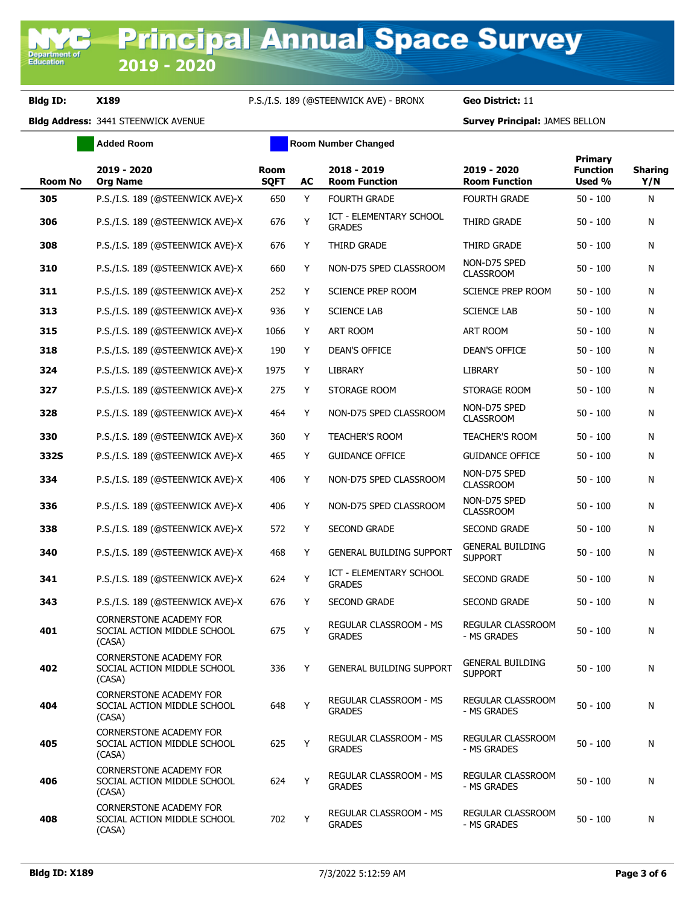**Bldg ID: X189** P.S./I.S. 189 (@STEENWICK AVE) - BRONX **Geo District:** 11

**Bldg Address:** 3441 STEENWICK AVENUE **Survey Principal:** JAMES BELLON

|                | <b>Added Room</b>                                                       |                            |    | <b>Room Number Changed</b>                     |                                           |                                             |                       |
|----------------|-------------------------------------------------------------------------|----------------------------|----|------------------------------------------------|-------------------------------------------|---------------------------------------------|-----------------------|
| <b>Room No</b> | 2019 - 2020<br><b>Org Name</b>                                          | <b>Room</b><br><b>SQFT</b> | AC | 2018 - 2019<br><b>Room Function</b>            | 2019 - 2020<br><b>Room Function</b>       | <b>Primary</b><br><b>Function</b><br>Used % | <b>Sharing</b><br>Y/N |
| 305            | P.S./I.S. 189 (@STEENWICK AVE)-X                                        | 650                        | Y  | <b>FOURTH GRADE</b>                            | <b>FOURTH GRADE</b>                       | $50 - 100$                                  | N                     |
| 306            | P.S./I.S. 189 (@STEENWICK AVE)-X                                        | 676                        | Υ  | ICT - ELEMENTARY SCHOOL<br><b>GRADES</b>       | THIRD GRADE                               | $50 - 100$                                  | N                     |
| 308            | P.S./I.S. 189 (@STEENWICK AVE)-X                                        | 676                        | Y  | THIRD GRADE                                    | THIRD GRADE                               | 50 - 100                                    | N                     |
| 310            | P.S./I.S. 189 (@STEENWICK AVE)-X                                        | 660                        | Y  | NON-D75 SPED CLASSROOM                         | NON-D75 SPED<br><b>CLASSROOM</b>          | $50 - 100$                                  | N                     |
| 311            | P.S./I.S. 189 (@STEENWICK AVE)-X                                        | 252                        | Y  | SCIENCE PREP ROOM                              | SCIENCE PREP ROOM                         | 50 - 100                                    | N                     |
| 313            | P.S./I.S. 189 (@STEENWICK AVE)-X                                        | 936                        | Y  | <b>SCIENCE LAB</b>                             | <b>SCIENCE LAB</b>                        | 50 - 100                                    | N                     |
| 315            | P.S./I.S. 189 (@STEENWICK AVE)-X                                        | 1066                       | Y  | <b>ART ROOM</b>                                | ART ROOM                                  | 50 - 100                                    | N                     |
| 318            | P.S./I.S. 189 (@STEENWICK AVE)-X                                        | 190                        | Y  | <b>DEAN'S OFFICE</b>                           | <b>DEAN'S OFFICE</b>                      | 50 - 100                                    | N                     |
| 324            | P.S./I.S. 189 (@STEENWICK AVE)-X                                        | 1975                       | Y  | <b>LIBRARY</b>                                 | LIBRARY                                   | 50 - 100                                    | N                     |
| 327            | P.S./I.S. 189 (@STEENWICK AVE)-X                                        | 275                        | Y  | STORAGE ROOM                                   | STORAGE ROOM                              | 50 - 100                                    | N                     |
| 328            | P.S./I.S. 189 (@STEENWICK AVE)-X                                        | 464                        | Y  | NON-D75 SPED CLASSROOM                         | NON-D75 SPED<br><b>CLASSROOM</b>          | 50 - 100                                    | N                     |
| 330            | P.S./I.S. 189 (@STEENWICK AVE)-X                                        | 360                        | Y  | <b>TEACHER'S ROOM</b>                          | <b>TEACHER'S ROOM</b>                     | $50 - 100$                                  | N                     |
| <b>332S</b>    | P.S./I.S. 189 (@STEENWICK AVE)-X                                        | 465                        | Y  | <b>GUIDANCE OFFICE</b>                         | <b>GUIDANCE OFFICE</b>                    | 50 - 100                                    | N                     |
| 334            | P.S./I.S. 189 (@STEENWICK AVE)-X                                        | 406                        | Y  | NON-D75 SPED CLASSROOM                         | NON-D75 SPED<br><b>CLASSROOM</b>          | 50 - 100                                    | N                     |
| 336            | P.S./I.S. 189 (@STEENWICK AVE)-X                                        | 406                        | Y  | NON-D75 SPED CLASSROOM                         | NON-D75 SPED<br><b>CLASSROOM</b>          | $50 - 100$                                  | N                     |
| 338            | P.S./I.S. 189 (@STEENWICK AVE)-X                                        | 572                        | Y  | SECOND GRADE                                   | <b>SECOND GRADE</b>                       | 50 - 100                                    | N                     |
| 340            | P.S./I.S. 189 (@STEENWICK AVE)-X                                        | 468                        | Y  | <b>GENERAL BUILDING SUPPORT</b>                | <b>GENERAL BUILDING</b><br><b>SUPPORT</b> | $50 - 100$                                  | N                     |
| 341            | P.S./I.S. 189 (@STEENWICK AVE)-X                                        | 624                        | Y  | ICT - ELEMENTARY SCHOOL<br><b>GRADES</b>       | <b>SECOND GRADE</b>                       | 50 - 100                                    | N                     |
| 343            | P.S./I.S. 189 (@STEENWICK AVE)-X                                        | 676                        | Y  | <b>SECOND GRADE</b>                            | <b>SECOND GRADE</b>                       | $50 - 100$                                  | N                     |
| 401            | CORNERSTONE ACADEMY FOR<br>SOCIAL ACTION MIDDLE SCHOOL<br>(CASA)        | 675                        | Y  | REGULAR CLASSROOM - MS<br><b>GRADES</b>        | REGULAR CLASSROOM<br>- MS GRADES          | 50 - 100                                    | N                     |
| 402            | <b>CORNERSTONE ACADEMY FOR</b><br>SOCIAL ACTION MIDDLE SCHOOL<br>(CASA) | 336                        | Y  | <b>GENERAL BUILDING SUPPORT</b>                | <b>GENERAL BUILDING</b><br><b>SUPPORT</b> | 50 - 100                                    | N                     |
| 404            | CORNERSTONE ACADEMY FOR<br>SOCIAL ACTION MIDDLE SCHOOL<br>(CASA)        | 648                        | Y  | REGULAR CLASSROOM - MS<br><b>GRADES</b>        | REGULAR CLASSROOM<br>- MS GRADES          | $50 - 100$                                  | N                     |
| 405            | CORNERSTONE ACADEMY FOR<br>SOCIAL ACTION MIDDLE SCHOOL<br>(CASA)        | 625                        | Y  | REGULAR CLASSROOM - MS<br><b>GRADES</b>        | <b>REGULAR CLASSROOM</b><br>- MS GRADES   | 50 - 100                                    | N                     |
| 406            | <b>CORNERSTONE ACADEMY FOR</b><br>SOCIAL ACTION MIDDLE SCHOOL<br>(CASA) | 624                        | Y  | <b>REGULAR CLASSROOM - MS</b><br><b>GRADES</b> | <b>REGULAR CLASSROOM</b><br>- MS GRADES   | 50 - 100                                    | N                     |
| 408            | CORNERSTONE ACADEMY FOR<br>SOCIAL ACTION MIDDLE SCHOOL<br>(CASA)        | 702                        | Y  | REGULAR CLASSROOM - MS<br><b>GRADES</b>        | REGULAR CLASSROOM<br>- MS GRADES          | 50 - 100                                    | N                     |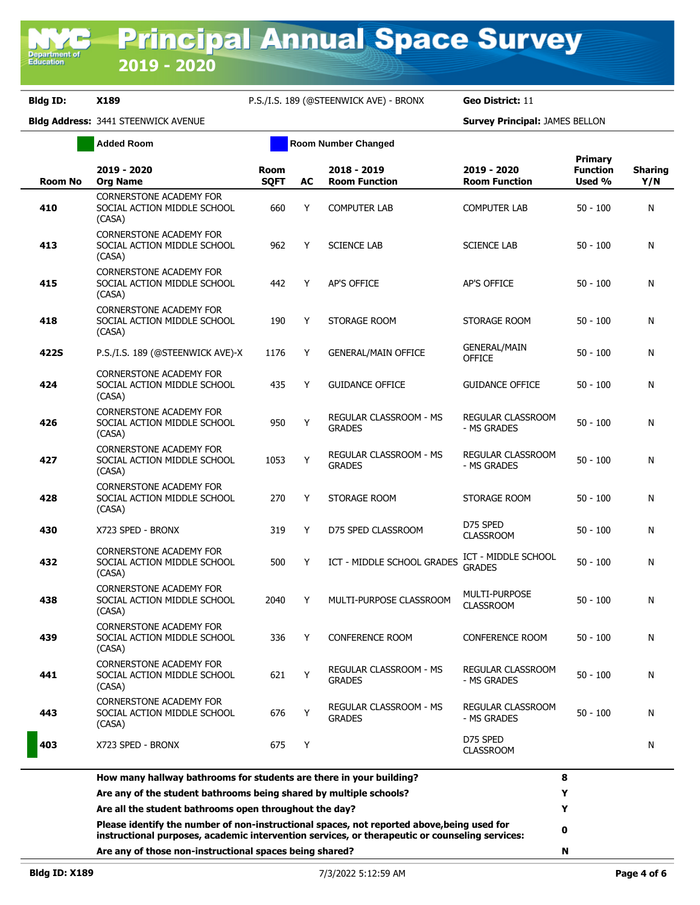**Bldg ID: X189** P.S./I.S. 189 (@STEENWICK AVE) - BRONX **Geo District:** 11

## **Bldg Address:** 3441 STEENWICK AVENUE **Survey Principal:** JAMES BELLON

|                | <b>Added Room</b>                                                       | <b>Room Number Changed</b> |    |                                                |                                      |                                      |                       |  |
|----------------|-------------------------------------------------------------------------|----------------------------|----|------------------------------------------------|--------------------------------------|--------------------------------------|-----------------------|--|
| <b>Room No</b> | 2019 - 2020<br><b>Org Name</b>                                          | <b>Room</b><br><b>SQFT</b> | AC | 2018 - 2019<br><b>Room Function</b>            | 2019 - 2020<br><b>Room Function</b>  | Primary<br><b>Function</b><br>Used % | <b>Sharing</b><br>Y/N |  |
| 410            | <b>CORNERSTONE ACADEMY FOR</b><br>SOCIAL ACTION MIDDLE SCHOOL<br>(CASA) | 660                        | Y  | <b>COMPUTER LAB</b>                            | <b>COMPUTER LAB</b>                  | $50 - 100$                           | N                     |  |
| 413            | <b>CORNERSTONE ACADEMY FOR</b><br>SOCIAL ACTION MIDDLE SCHOOL<br>(CASA) | 962                        | Y  | <b>SCIENCE LAB</b>                             | <b>SCIENCE LAB</b>                   | $50 - 100$                           | N                     |  |
| 415            | <b>CORNERSTONE ACADEMY FOR</b><br>SOCIAL ACTION MIDDLE SCHOOL<br>(CASA) | 442                        | Y  | <b>AP'S OFFICE</b>                             | AP'S OFFICE                          | $50 - 100$                           | N                     |  |
| 418            | <b>CORNERSTONE ACADEMY FOR</b><br>SOCIAL ACTION MIDDLE SCHOOL<br>(CASA) | 190                        | Y  | STORAGE ROOM                                   | STORAGE ROOM                         | $50 - 100$                           | N                     |  |
| 422S           | P.S./I.S. 189 (@STEENWICK AVE)-X                                        | 1176                       | Y  | <b>GENERAL/MAIN OFFICE</b>                     | GENERAL/MAIN<br><b>OFFICE</b>        | $50 - 100$                           | N                     |  |
| 424            | <b>CORNERSTONE ACADEMY FOR</b><br>SOCIAL ACTION MIDDLE SCHOOL<br>(CASA) | 435                        | Y  | <b>GUIDANCE OFFICE</b>                         | <b>GUIDANCE OFFICE</b>               | $50 - 100$                           | N                     |  |
| 426            | <b>CORNERSTONE ACADEMY FOR</b><br>SOCIAL ACTION MIDDLE SCHOOL<br>(CASA) | 950                        | Y  | <b>REGULAR CLASSROOM - MS</b><br><b>GRADES</b> | REGULAR CLASSROOM<br>- MS GRADES     | $50 - 100$                           | N                     |  |
| 427            | <b>CORNERSTONE ACADEMY FOR</b><br>SOCIAL ACTION MIDDLE SCHOOL<br>(CASA) | 1053                       | Y  | <b>REGULAR CLASSROOM - MS</b><br><b>GRADES</b> | REGULAR CLASSROOM<br>- MS GRADES     | $50 - 100$                           | N                     |  |
| 428            | <b>CORNERSTONE ACADEMY FOR</b><br>SOCIAL ACTION MIDDLE SCHOOL<br>(CASA) | 270                        | Y  | STORAGE ROOM                                   | STORAGE ROOM                         | $50 - 100$                           | N                     |  |
| 430            | X723 SPED - BRONX                                                       | 319                        | Y  | D75 SPED CLASSROOM                             | D75 SPED<br><b>CLASSROOM</b>         | $50 - 100$                           | N                     |  |
| 432            | <b>CORNERSTONE ACADEMY FOR</b><br>SOCIAL ACTION MIDDLE SCHOOL<br>(CASA) | 500                        | Y  | ICT - MIDDLE SCHOOL GRADES                     | ICT - MIDDLE SCHOOL<br><b>GRADES</b> | $50 - 100$                           | N                     |  |
| 438            | <b>CORNERSTONE ACADEMY FOR</b><br>SOCIAL ACTION MIDDLE SCHOOL<br>(CASA) | 2040                       | Y  | MULTI-PURPOSE CLASSROOM                        | MULTI-PURPOSE<br><b>CLASSROOM</b>    | $50 - 100$                           | N                     |  |
| 439            | <b>CORNERSTONE ACADEMY FOR</b><br>SOCIAL ACTION MIDDLE SCHOOL<br>(CASA) | 336                        | Y  | <b>CONFERENCE ROOM</b>                         | <b>CONFERENCE ROOM</b>               | $50 - 100$                           | N                     |  |
| 441            | <b>CORNERSTONE ACADEMY FOR</b><br>SOCIAL ACTION MIDDLE SCHOOL<br>(CASA) | 621                        | Y  | REGULAR CLASSROOM - MS<br><b>GRADES</b>        | REGULAR CLASSROOM<br>- MS GRADES     | $50 - 100$                           | N                     |  |
| 443            | <b>CORNERSTONE ACADEMY FOR</b><br>SOCIAL ACTION MIDDLE SCHOOL<br>(CASA) | 676                        | Y  | REGULAR CLASSROOM - MS<br><b>GRADES</b>        | REGULAR CLASSROOM<br>- MS GRADES     | $50 - 100$                           | N                     |  |
| 403            | X723 SPED - BRONX                                                       | 675                        | Υ  |                                                | D75 SPED<br><b>CLASSROOM</b>         |                                      | N                     |  |
|                | How many hallway bathrooms for students are there in your building?     |                            |    |                                                |                                      | 8                                    |                       |  |
|                | Are any of the student bathrooms being shared by multiple schools?      |                            |    |                                                | Y                                    |                                      |                       |  |
|                | Are all the student bathrooms open throughout the day?                  |                            |    |                                                | Y                                    |                                      |                       |  |
|                |                                                                         |                            |    |                                                |                                      |                                      |                       |  |

**Please identify the number of non-instructional spaces, not reported above,being used for instructional purposes, academic intervention services, or therapeutic or counseling services: <sup>0</sup> Are any of those non-instructional spaces being shared? N**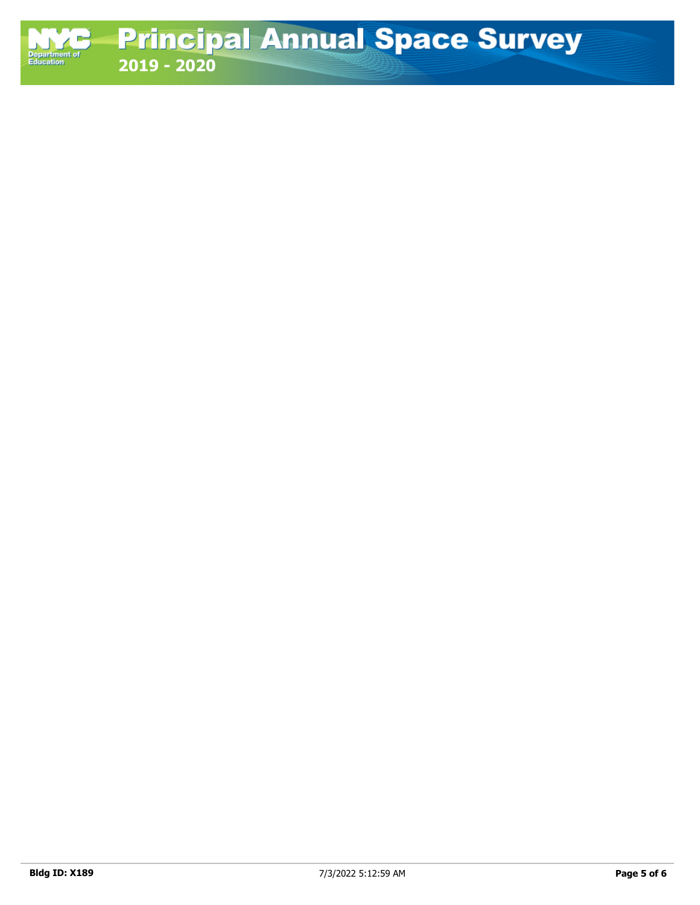